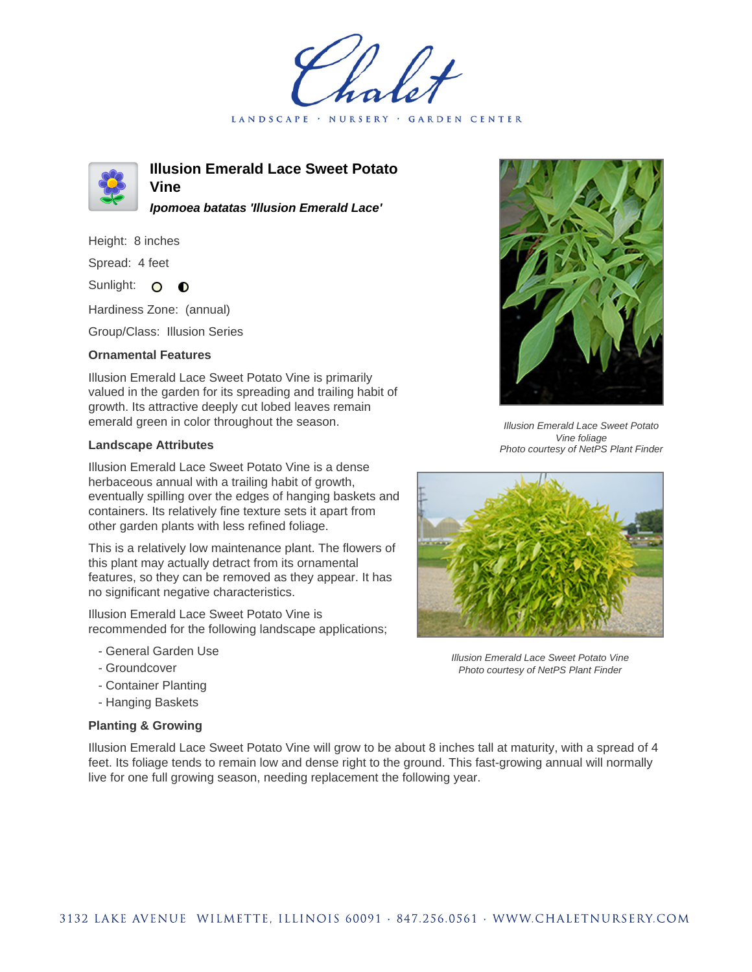LANDSCAPE · NURSERY GARDEN CENTER



**Illusion Emerald Lace Sweet Potato Vine**

**Ipomoea batatas 'Illusion Emerald Lace'**

Height: 8 inches

Spread: 4 feet

Sunlight: O O

Hardiness Zone: (annual)

Group/Class: Illusion Series

## **Ornamental Features**

Illusion Emerald Lace Sweet Potato Vine is primarily valued in the garden for its spreading and trailing habit of growth. Its attractive deeply cut lobed leaves remain emerald green in color throughout the season.

## **Landscape Attributes**

Illusion Emerald Lace Sweet Potato Vine is a dense herbaceous annual with a trailing habit of growth, eventually spilling over the edges of hanging baskets and containers. Its relatively fine texture sets it apart from other garden plants with less refined foliage.

This is a relatively low maintenance plant. The flowers of this plant may actually detract from its ornamental features, so they can be removed as they appear. It has no significant negative characteristics.

Illusion Emerald Lace Sweet Potato Vine is recommended for the following landscape applications;

- General Garden Use
- Groundcover
- Container Planting
- Hanging Baskets

## **Planting & Growing**



Illusion Emerald Lace Sweet Potato Vine foliage Photo courtesy of NetPS Plant Finder



Illusion Emerald Lace Sweet Potato Vine Photo courtesy of NetPS Plant Finder

Illusion Emerald Lace Sweet Potato Vine will grow to be about 8 inches tall at maturity, with a spread of 4 feet. Its foliage tends to remain low and dense right to the ground. This fast-growing annual will normally live for one full growing season, needing replacement the following year.